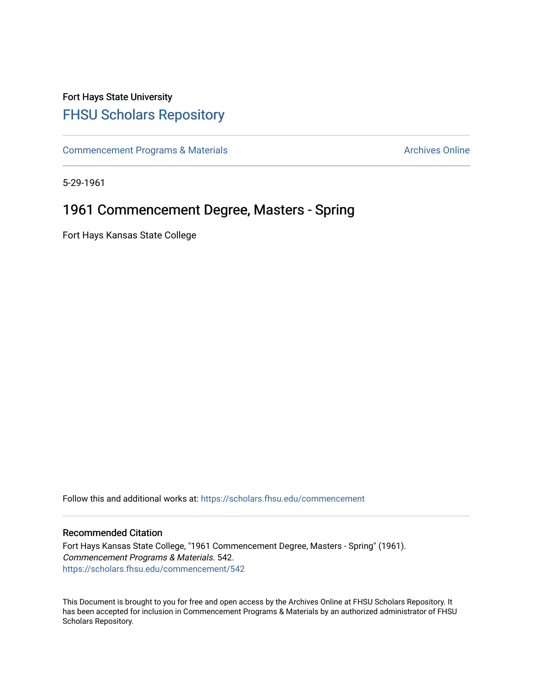## Fort Hays State University [FHSU Scholars Repository](https://scholars.fhsu.edu/)

[Commencement Programs & Materials](https://scholars.fhsu.edu/commencement) **Archives Online** Archives Online

5-29-1961

## 1961 Commencement Degree, Masters - Spring

Fort Hays Kansas State College

Follow this and additional works at: [https://scholars.fhsu.edu/commencement](https://scholars.fhsu.edu/commencement?utm_source=scholars.fhsu.edu%2Fcommencement%2F542&utm_medium=PDF&utm_campaign=PDFCoverPages)

## Recommended Citation

Fort Hays Kansas State College, "1961 Commencement Degree, Masters - Spring" (1961). Commencement Programs & Materials. 542. [https://scholars.fhsu.edu/commencement/542](https://scholars.fhsu.edu/commencement/542?utm_source=scholars.fhsu.edu%2Fcommencement%2F542&utm_medium=PDF&utm_campaign=PDFCoverPages)

This Document is brought to you for free and open access by the Archives Online at FHSU Scholars Repository. It has been accepted for inclusion in Commencement Programs & Materials by an authorized administrator of FHSU Scholars Repository.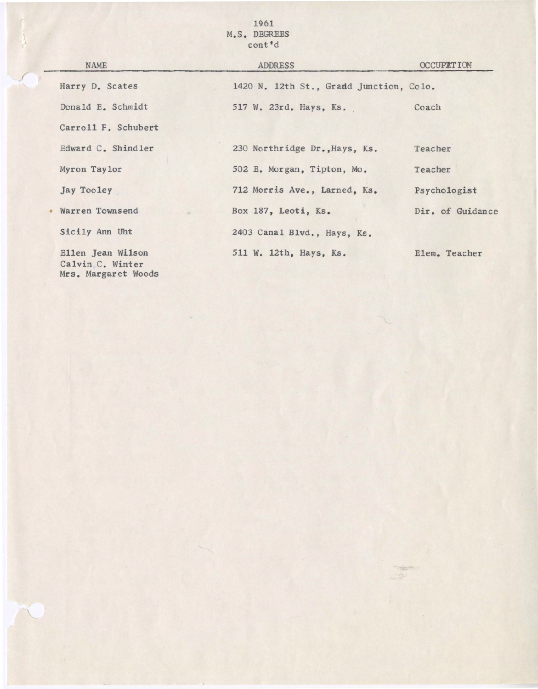1961 M.S. DEGREES cont'd

 $\frac{3}{2}$ 

| <b>NAME</b>                                                  | ADDRESS                                 | <b>OCCUPATION</b> |
|--------------------------------------------------------------|-----------------------------------------|-------------------|
| Harry D. Scates                                              | 1420 N. 12th St., Gradd Junction, Colo. |                   |
| Donald E. Schmidt                                            | 517 W. 23rd. Hays, Ks.                  | Coach             |
| Carroll F. Schubert                                          |                                         |                   |
| Edward C. Shindler                                           | 230 Northridge Dr., Hays, Ks.           | Teacher           |
| Myron Taylor                                                 | 502 E. Morgan, Tipton, Mo.              | Teacher           |
| Jay Tooley                                                   | 712 Morris Ave., Larned, Ks.            | Psychologist      |
| Warren Townsend                                              | Box 187, Leoti, Ks.                     | Dir. of Guidance  |
| Sicily Ann Uht                                               | 2403 Canal Blvd., Hays, Ks.             |                   |
| Ellen Jean Wilson<br>Calvin C. Winter<br>Mrs. Margaret Woods | 511 W. 12th, Hays, Ks.                  | Elem. Teacher     |

 $\frac{1}{2} \frac{1}{\sqrt{2}} \frac{1}{\sqrt{2}} \frac{1}{\sqrt{2}} \frac{1}{\sqrt{2}} \frac{1}{\sqrt{2}} \frac{1}{\sqrt{2}} \frac{1}{\sqrt{2}} \frac{1}{\sqrt{2}} \frac{1}{\sqrt{2}} \frac{1}{\sqrt{2}} \frac{1}{\sqrt{2}} \frac{1}{\sqrt{2}} \frac{1}{\sqrt{2}} \frac{1}{\sqrt{2}} \frac{1}{\sqrt{2}} \frac{1}{\sqrt{2}} \frac{1}{\sqrt{2}} \frac{1}{\sqrt{2}} \frac{1}{\sqrt{2}} \frac{1}{\sqrt{2}} \frac{1}{\sqrt{2}} \frac{$